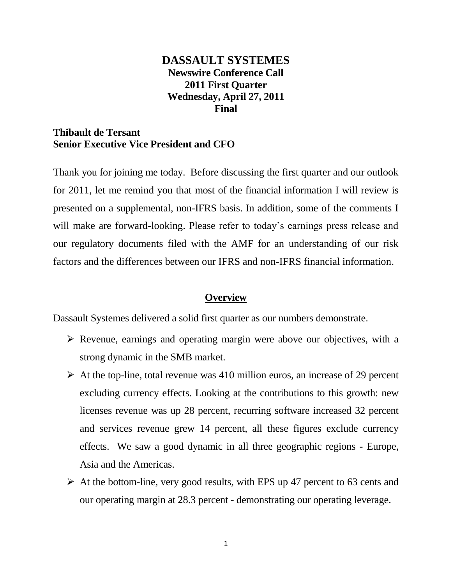# **DASSAULT SYSTEMES Newswire Conference Call 2011 First Quarter Wednesday, April 27, 2011 Final**

## **Thibault de Tersant Senior Executive Vice President and CFO**

Thank you for joining me today. Before discussing the first quarter and our outlook for 2011, let me remind you that most of the financial information I will review is presented on a supplemental, non-IFRS basis. In addition, some of the comments I will make are forward-looking. Please refer to today's earnings press release and our regulatory documents filed with the AMF for an understanding of our risk factors and the differences between our IFRS and non-IFRS financial information.

## **Overview**

Dassault Systemes delivered a solid first quarter as our numbers demonstrate.

- $\triangleright$  Revenue, earnings and operating margin were above our objectives, with a strong dynamic in the SMB market.
- $\triangleright$  At the top-line, total revenue was 410 million euros, an increase of 29 percent excluding currency effects. Looking at the contributions to this growth: new licenses revenue was up 28 percent, recurring software increased 32 percent and services revenue grew 14 percent, all these figures exclude currency effects. We saw a good dynamic in all three geographic regions - Europe, Asia and the Americas.
- $\triangleright$  At the bottom-line, very good results, with EPS up 47 percent to 63 cents and our operating margin at 28.3 percent - demonstrating our operating leverage.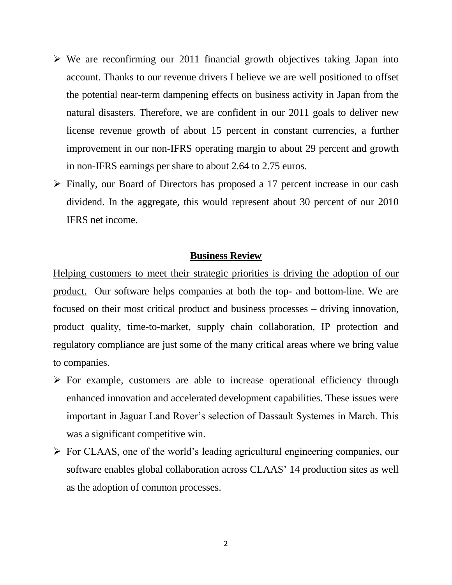- $\triangleright$  We are reconfirming our 2011 financial growth objectives taking Japan into account. Thanks to our revenue drivers I believe we are well positioned to offset the potential near-term dampening effects on business activity in Japan from the natural disasters. Therefore, we are confident in our 2011 goals to deliver new license revenue growth of about 15 percent in constant currencies, a further improvement in our non-IFRS operating margin to about 29 percent and growth in non-IFRS earnings per share to about 2.64 to 2.75 euros.
- Finally, our Board of Directors has proposed a 17 percent increase in our cash dividend. In the aggregate, this would represent about 30 percent of our 2010 IFRS net income.

#### **Business Review**

Helping customers to meet their strategic priorities is driving the adoption of our product. Our software helps companies at both the top- and bottom-line. We are focused on their most critical product and business processes – driving innovation, product quality, time-to-market, supply chain collaboration, IP protection and regulatory compliance are just some of the many critical areas where we bring value to companies.

- $\triangleright$  For example, customers are able to increase operational efficiency through enhanced innovation and accelerated development capabilities. These issues were important in Jaguar Land Rover's selection of Dassault Systemes in March. This was a significant competitive win.
- $\triangleright$  For CLAAS, one of the world's leading agricultural engineering companies, our software enables global collaboration across CLAAS' 14 production sites as well as the adoption of common processes.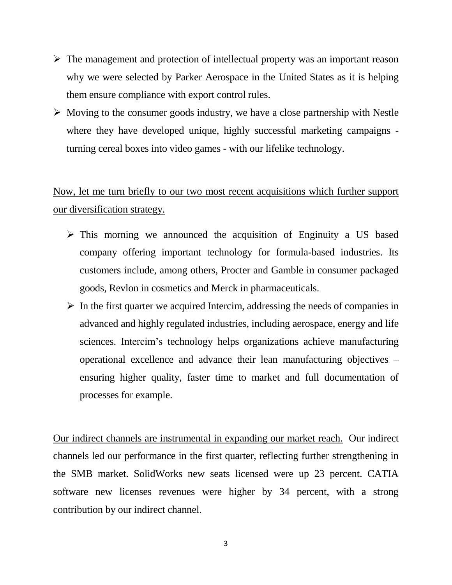- $\triangleright$  The management and protection of intellectual property was an important reason why we were selected by Parker Aerospace in the United States as it is helping them ensure compliance with export control rules.
- $\triangleright$  Moving to the consumer goods industry, we have a close partnership with Nestle where they have developed unique, highly successful marketing campaigns turning cereal boxes into video games - with our lifelike technology.

Now, let me turn briefly to our two most recent acquisitions which further support our diversification strategy.

- $\triangleright$  This morning we announced the acquisition of Enginuity a US based company offering important technology for formula-based industries. Its customers include, among others, Procter and Gamble in consumer packaged goods, Revlon in cosmetics and Merck in pharmaceuticals.
- $\triangleright$  In the first quarter we acquired Intercim, addressing the needs of companies in advanced and highly regulated industries, including aerospace, energy and life sciences. Intercim's technology helps organizations achieve manufacturing operational excellence and advance their lean manufacturing objectives – ensuring higher quality, faster time to market and full documentation of processes for example.

Our indirect channels are instrumental in expanding our market reach. Our indirect channels led our performance in the first quarter, reflecting further strengthening in the SMB market. SolidWorks new seats licensed were up 23 percent. CATIA software new licenses revenues were higher by 34 percent, with a strong contribution by our indirect channel.